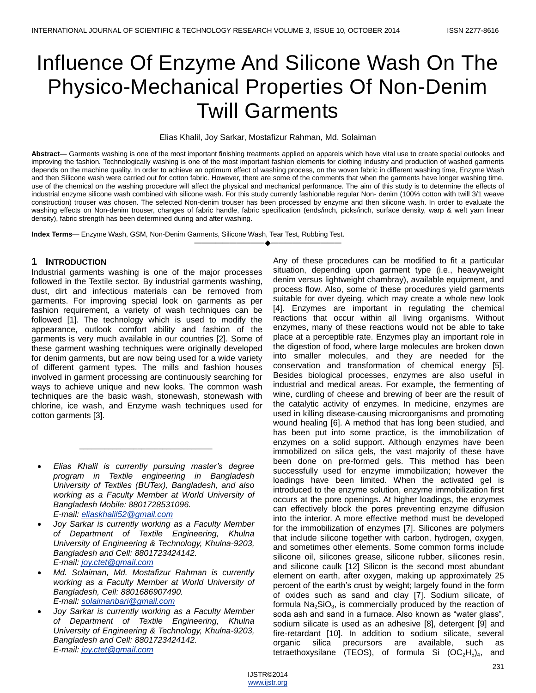# Influence Of Enzyme And Silicone Wash On The Physico-Mechanical Properties Of Non-Denim Twill Garments

#### Elias Khalil, Joy Sarkar, Mostafizur Rahman, Md. Solaiman

**Abstract**— Garments washing is one of the most important finishing treatments applied on apparels which have vital use to create special outlooks and improving the fashion. Technologically washing is one of the most important fashion elements for clothing industry and production of washed garments depends on the machine quality. In order to achieve an optimum effect of washing process, on the woven fabric in different washing time, Enzyme Wash and then Silicone wash were carried out for cotton fabric. However, there are some of the comments that when the garments have longer washing time, use of the chemical on the washing procedure will affect the physical and mechanical performance. The aim of this study is to determine the effects of industrial enzyme silicone wash combined with silicone wash. For this study currently fashionable regular Non- denim (100% cotton with twill 3/1 weave construction) trouser was chosen. The selected Non-denim trouser has been processed by enzyme and then silicone wash. In order to evaluate the washing effects on Non-denim trouser, changes of fabric handle, fabric specification (ends/inch, picks/inch, surface density, warp & weft yarn linear density), fabric strength has been determined during and after washing.

————————————————————

**Index Terms**— Enzyme Wash, GSM, Non-Denim Garments, Silicone Wash, Tear Test, Rubbing Test.

#### **1 INTRODUCTION**

Industrial garments washing is one of the major processes followed in the Textile sector. By industrial garments washing, dust, dirt and infectious materials can be removed from garments. For improving special look on garments as per fashion requirement, a variety of wash techniques can be followed [1]. The technology which is used to modify the appearance, outlook comfort ability and fashion of the garments is very much available in our countries [2]. Some of these garment washing techniques were originally developed for denim garments, but are now being used for a wide variety of different garment types. The mills and fashion houses involved in garment processing are continuously searching for ways to achieve unique and new looks. The common wash techniques are the basic wash, stonewash, stonewash with chlorine, ice wash, and Enzyme wash techniques used for cotton garments [3].

 *Elias Khalil is currently pursuing master's degree program in Textile engineering in Bangladesh University of Textiles (BUTex), Bangladesh, and also working as a Faculty Member at World University of Bangladesh Mobile: 8801728531096. E-mail: [eliaskhalil52@gmail.com](mailto:eliaskhalil52@gmail.com)*

\_\_\_\_\_\_\_\_\_\_\_\_\_\_\_\_\_\_\_\_\_\_\_\_\_\_\_\_\_\_\_\_

- *Joy Sarkar is currently working as a Faculty Member of Department of Textile Engineering, Khulna University of Engineering & Technology, Khulna-9203, Bangladesh and Cell: 8801723424142. E-mail: [joy.ctet@gmail.com](mailto:joy.ctet@gmail.com)*
- *Md. Solaiman, Md. Mostafizur Rahman is currently working as a Faculty Member at World University of Bangladesh, Cell: 8801686907490. E-mail: [solaimanbari@gmail.com](mailto:solaimanbari@gmail.com)*
- *Joy Sarkar is currently working as a Faculty Member of Department of Textile Engineering, Khulna University of Engineering & Technology, Khulna-9203, Bangladesh and Cell: 8801723424142. E-mail: [joy.ctet@gmail.com](mailto:joy.ctet@gmail.com)*

Any of these procedures can be modified to fit a particular situation, depending upon garment type (i.e., heavyweight denim versus lightweight chambray), available equipment, and process flow. Also, some of these procedures yield garments suitable for over dyeing, which may create a whole new look [4]. Enzymes are important in regulating the chemical reactions that occur within all living organisms. Without enzymes, many of these reactions would not be able to take place at a perceptible rate. Enzymes play an important role in the digestion of food, where large molecules are broken down into smaller molecules, and they are needed for the conservation and transformation of chemical energy [5]. Besides biological processes, enzymes are also useful in industrial and medical areas. For example, the fermenting of wine, curdling of cheese and brewing of beer are the result of the catalytic activity of enzymes. In medicine, enzymes are used in killing disease-causing microorganisms and promoting wound healing [6]. A method that has long been studied, and has been put into some practice, is the immobilization of enzymes on a solid support. Although enzymes have been immobilized on silica gels, the vast majority of these have been done on pre-formed gels. This method has been successfully used for enzyme immobilization; however the loadings have been limited. When the activated gel is introduced to the enzyme solution, enzyme immobilization first occurs at the pore openings. At higher loadings, the enzymes can effectively block the pores preventing enzyme diffusion into the interior. A more effective method must be developed for the immobilization of enzymes [7]. Silicones are polymers that include silicone together with carbon, hydrogen, oxygen, and sometimes other elements. Some common forms include silicone oil, silicones grease, silicone rubber, silicones resin, and silicone caulk [12] Silicon is the second most abundant element on earth, after oxygen, making up approximately 25 percent of the earth's crust by weight; largely found in the form of oxides such as sand and clay [7]. Sodium silicate, of formula  $Na<sub>2</sub>SiO<sub>3</sub>$ , is commercially produced by the reaction of soda ash and sand in a furnace. Also known as "water glass", sodium silicate is used as an adhesive [8], detergent [9] and fire-retardant [10]. In addition to sodium silicate, several organic silica precursors are available, such as tetraethoxysilane (TEOS), of formula Si  $(OC<sub>2</sub>H<sub>5</sub>)<sub>4</sub>$ , and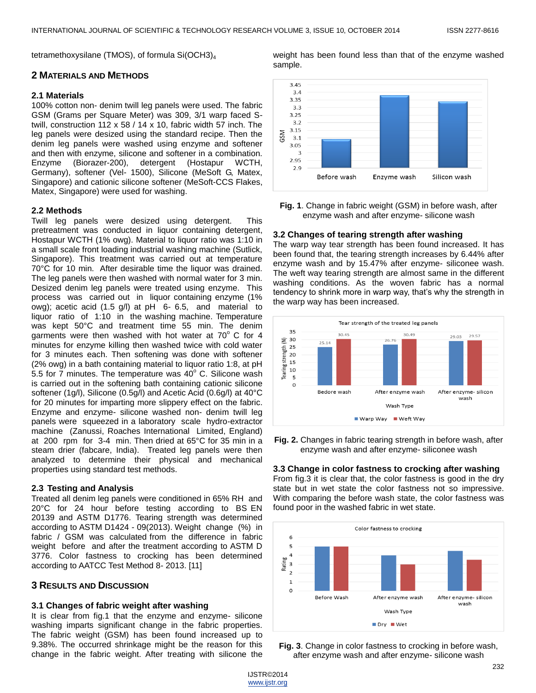sample.

tetramethoxysilane (TMOS), of formula Si(OCH3)<sup>4</sup>

#### **2 MATERIALS AND METHODS**

# **2.1 Materials**

100% cotton non- denim twill leg panels were used. The fabric GSM (Grams per Square Meter) was 309, 3/1 warp faced Stwill, construction 112 x 58 / 14 x 10, fabric width 57 inch. The leg panels were desized using the standard recipe. Then the denim leg panels were washed using enzyme and softener and then with enzyme, silicone and softener in a combination. Enzyme (Biorazer-200), detergent (Hostapur WCTH, Germany), softener (Vel- 1500), Silicone (MeSoft G, Matex, Singapore) and cationic silicone softener (MeSoft-CCS Flakes, Matex, Singapore) were used for washing.

#### **2.2 Methods**

Twill leg panels were desized using detergent. This pretreatment was conducted in liquor containing detergent, Hostapur WCTH (1% owg). Material to liquor ratio was 1:10 in a small scale front loading industrial washing machine (Sutlick, Singapore). This treatment was carried out at temperature 70°C for 10 min. After desirable time the liquor was drained. The leg panels were then washed with normal water for 3 min. Desized denim leg panels were treated using enzyme. This process was carried out in liquor containing enzyme (1% owg); acetic acid (1.5 g/l) at pH 6- 6.5, and material to liquor ratio of 1:10 in the washing machine. Temperature was kept 50°C and treatment time 55 min. The denim garments were then washed with hot water at  $70^{\circ}$  C for 4 minutes for enzyme killing then washed twice with cold water for 3 minutes each. Then softening was done with softener (2% owg) in a bath containing material to liquor ratio 1:8, at pH 5.5 for 7 minutes. The temperature was  $40^{\circ}$  C. Silicone wash is carried out in the softening bath containing cationic silicone softener (1g/l), Silicone (0.5g/l) and Acetic Acid (0.6g/l) at 40°C for 20 minutes for imparting more slippery effect on the fabric. Enzyme and enzyme- silicone washed non- denim twill leg panels were squeezed in a laboratory scale hydro-extractor machine (Zanussi, Roaches International Limited, England) at 200 rpm for 3-4 min. Then dried at 65°C for 35 min in a steam drier (fabcare, India). Treated leg panels were then analyzed to determine their physical and mechanical properties using standard test methods.

## **2.3 Testing and Analysis**

Treated all denim leg panels were conditioned in 65% RH and 20°C for 24 hour before testing according to BS EN 20139 and ASTM D1776. Tearing strength was determined according to ASTM D1424 - 09(2013). Weight change (%) in fabric / GSM was calculated from the difference in fabric weight before and after the treatment according to ASTM D 3776. Color fastness to crocking has been determined according to AATCC Test Method 8- 2013. [11]

## **3 RESULTS AND DISCUSSION**

# **3.1 Changes of fabric weight after washing**

It is clear from fig.1 that the enzyme and enzyme- silicone washing imparts significant change in the fabric properties. The fabric weight (GSM) has been found increased up to 9.38%. The occurred shrinkage might be the reason for this change in the fabric weight. After treating with silicone the



weight has been found less than that of the enzyme washed

**Fig. 1**. Change in fabric weight (GSM) in before wash, after enzyme wash and after enzyme- silicone wash

#### **3.2 Changes of tearing strength after washing**

The warp way tear strength has been found increased. It has been found that, the tearing strength increases by 6.44% after enzyme wash and by 15.47% after enzyme- siliconee wash. The weft way tearing strength are almost same in the different washing conditions. As the woven fabric has a normal tendency to shrink more in warp way, that's why the strength in the warp way has been increased.



**Fig. 2.** Changes in fabric tearing strength in before wash, after enzyme wash and after enzyme- siliconee wash

## **3.3 Change in color fastness to crocking after washing**

From fig.3 it is clear that, the color fastness is good in the dry state but in wet state the color fastness not so impressive. With comparing the before wash state, the color fastness was found poor in the washed fabric in wet state.



**Fig. 3**. Change in color fastness to crocking in before wash, after enzyme wash and after enzyme- silicone wash